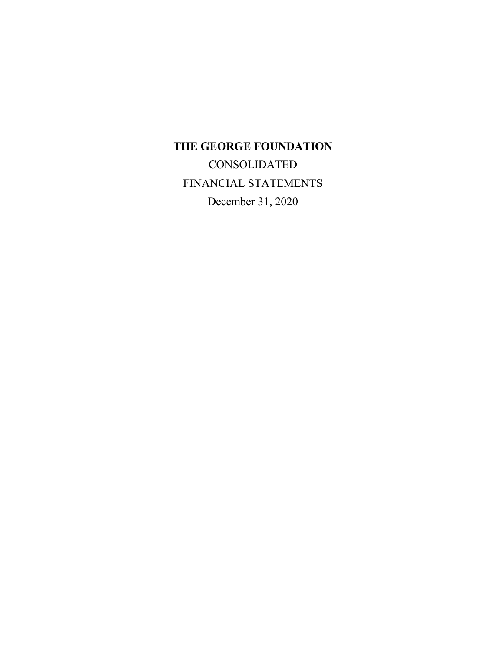# **THE GEORGE FOUNDATION**

**CONSOLIDATED** FINANCIAL STATEMENTS December 31, 2020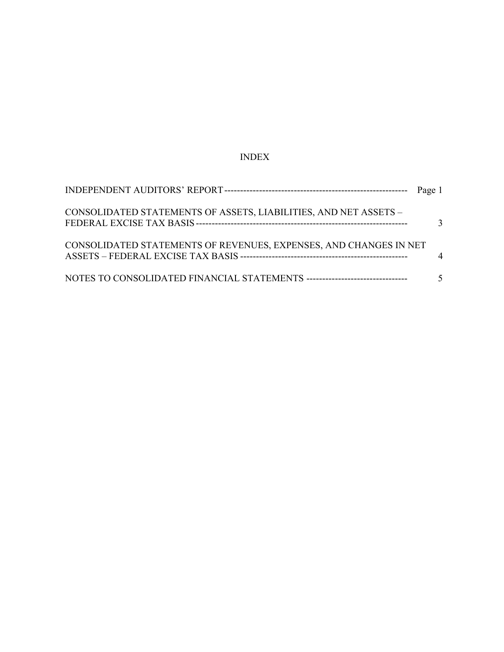# INDEX

| CONSOLIDATED STATEMENTS OF ASSETS, LIABILITIES, AND NET ASSETS -  | $\mathcal{R}$ |
|-------------------------------------------------------------------|---------------|
| CONSOLIDATED STATEMENTS OF REVENUES, EXPENSES, AND CHANGES IN NET | $\Delta$      |
|                                                                   | $\mathcal{F}$ |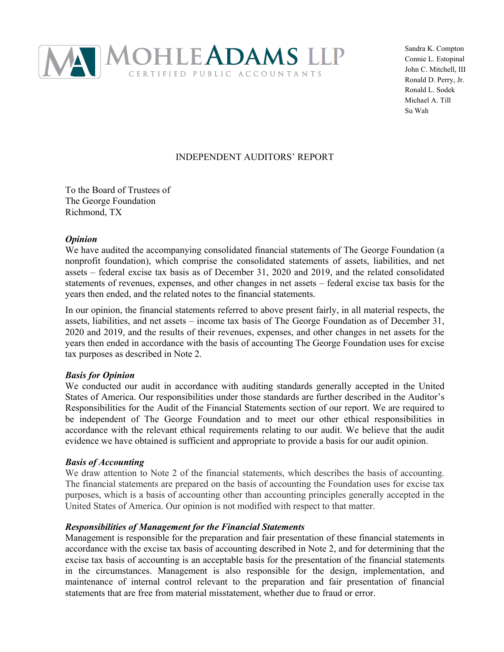

Sandra K. Compton Connie L. Estopinal John C. Mitchell, III Ronald D. Perry, Jr. Ronald L. Sodek Michael A. Till Su Wah

# INDEPENDENT AUDITORS' REPORT

To the Board of Trustees of The George Foundation Richmond, TX

### *Opinion*

We have audited the accompanying consolidated financial statements of The George Foundation (a nonprofit foundation), which comprise the consolidated statements of assets, liabilities, and net assets – federal excise tax basis as of December 31, 2020 and 2019, and the related consolidated statements of revenues, expenses, and other changes in net assets – federal excise tax basis for the years then ended, and the related notes to the financial statements.

In our opinion, the financial statements referred to above present fairly, in all material respects, the assets, liabilities, and net assets – income tax basis of The George Foundation as of December 31, 2020 and 2019, and the results of their revenues, expenses, and other changes in net assets for the years then ended in accordance with the basis of accounting The George Foundation uses for excise tax purposes as described in Note 2.

### *Basis for Opinion*

We conducted our audit in accordance with auditing standards generally accepted in the United States of America. Our responsibilities under those standards are further described in the Auditor's Responsibilities for the Audit of the Financial Statements section of our report. We are required to be independent of The George Foundation and to meet our other ethical responsibilities in accordance with the relevant ethical requirements relating to our audit. We believe that the audit evidence we have obtained is sufficient and appropriate to provide a basis for our audit opinion.

### *Basis of Accounting*

We draw attention to Note 2 of the financial statements, which describes the basis of accounting. The financial statements are prepared on the basis of accounting the Foundation uses for excise tax purposes, which is a basis of accounting other than accounting principles generally accepted in the United States of America. Our opinion is not modified with respect to that matter.

### *Responsibilities of Management for the Financial Statements*

Management is responsible for the preparation and fair presentation of these financial statements in accordance with the excise tax basis of accounting described in Note 2, and for determining that the excise tax basis of accounting is an acceptable basis for the presentation of the financial statements in the circumstances. Management is also responsible for the design, implementation, and maintenance of internal control relevant to the preparation and fair presentation of financial statements that are free from material misstatement, whether due to fraud or error.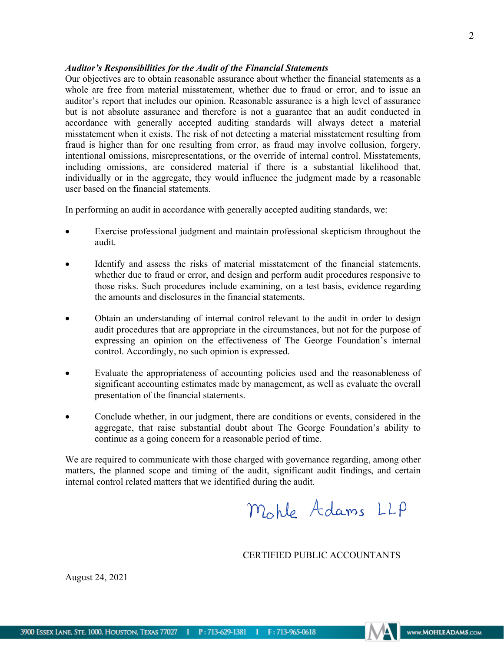### *Auditor's Responsibilities for the Audit of the Financial Statements*

Our objectives are to obtain reasonable assurance about whether the financial statements as a whole are free from material misstatement, whether due to fraud or error, and to issue an auditor's report that includes our opinion. Reasonable assurance is a high level of assurance but is not absolute assurance and therefore is not a guarantee that an audit conducted in accordance with generally accepted auditing standards will always detect a material misstatement when it exists. The risk of not detecting a material misstatement resulting from fraud is higher than for one resulting from error, as fraud may involve collusion, forgery, intentional omissions, misrepresentations, or the override of internal control. Misstatements, including omissions, are considered material if there is a substantial likelihood that, individually or in the aggregate, they would influence the judgment made by a reasonable user based on the financial statements.

In performing an audit in accordance with generally accepted auditing standards, we:

- Exercise professional judgment and maintain professional skepticism throughout the audit.
- Identify and assess the risks of material misstatement of the financial statements, whether due to fraud or error, and design and perform audit procedures responsive to those risks. Such procedures include examining, on a test basis, evidence regarding the amounts and disclosures in the financial statements.
- Obtain an understanding of internal control relevant to the audit in order to design audit procedures that are appropriate in the circumstances, but not for the purpose of expressing an opinion on the effectiveness of The George Foundation's internal control. Accordingly, no such opinion is expressed.
- Evaluate the appropriateness of accounting policies used and the reasonableness of significant accounting estimates made by management, as well as evaluate the overall presentation of the financial statements.
- Conclude whether, in our judgment, there are conditions or events, considered in the aggregate, that raise substantial doubt about The George Foundation's ability to continue as a going concern for a reasonable period of time.

We are required to communicate with those charged with governance regarding, among other matters, the planned scope and timing of the audit, significant audit findings, and certain internal control related matters that we identified during the audit.

Mohle Adams LLP

CERTIFIED PUBLIC ACCOUNTANTS

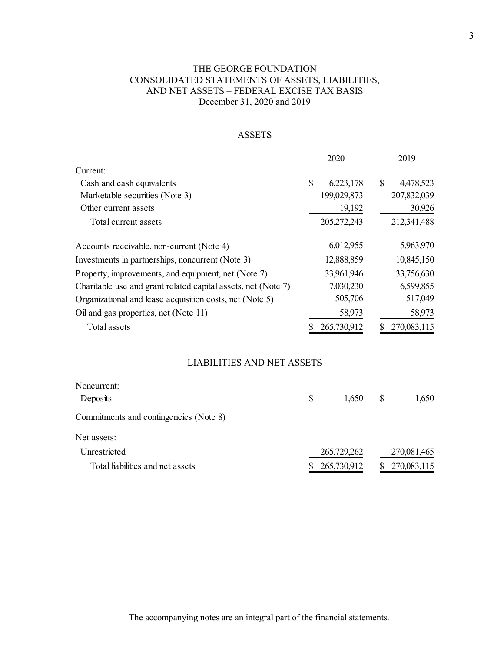# THE GEORGE FOUNDATION CONSOLIDATED STATEMENTS OF ASSETS, LIABILITIES, AND NET ASSETS – FEDERAL EXCISE TAX BASIS December 31, 2020 and 2019

### ASSETS

|                                                               |    | 2020        | 2019            |
|---------------------------------------------------------------|----|-------------|-----------------|
| Current:                                                      |    |             |                 |
| Cash and cash equivalents                                     | \$ | 6,223,178   | \$<br>4,478,523 |
| Marketable securities (Note 3)                                |    | 199,029,873 | 207,832,039     |
| Other current assets                                          |    | 19,192      | 30,926          |
| Total current assets                                          |    | 205,272,243 | 212,341,488     |
| Accounts receivable, non-current (Note 4)                     |    | 6,012,955   | 5,963,970       |
| Investments in partnerships, noncurrent (Note 3)              |    | 12,888,859  | 10,845,150      |
| Property, improvements, and equipment, net (Note 7)           |    | 33,961,946  | 33,756,630      |
| Charitable use and grant related capital assets, net (Note 7) |    | 7,030,230   | 6,599,855       |
| Organizational and lease acquisition costs, net (Note 5)      |    | 505,706     | 517,049         |
| Oil and gas properties, net (Note 11)                         |    | 58,973      | 58,973          |
| Total assets                                                  |    | 265,730,912 | 270,083,115     |

### LIABILITIES AND NET ASSETS

| S | 1,650 | S                          | 1,650       |
|---|-------|----------------------------|-------------|
|   |       |                            |             |
|   |       |                            |             |
|   |       |                            | 270,081,465 |
|   |       |                            | 270,083,115 |
|   |       | 265,729,262<br>265,730,912 |             |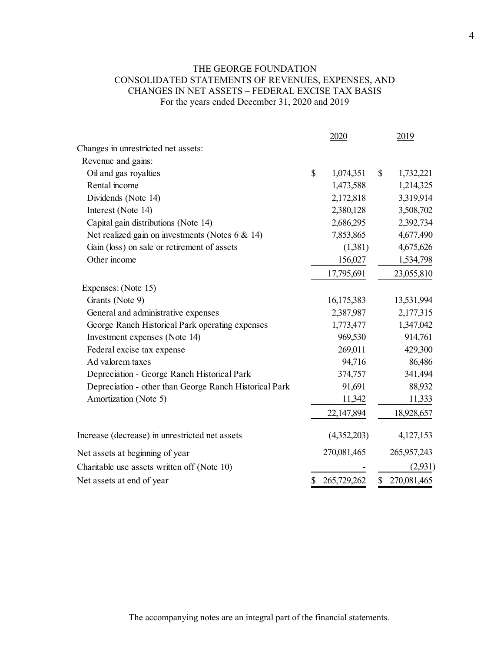# THE GEORGE FOUNDATION CONSOLIDATED STATEMENTS OF REVENUES, EXPENSES, AND CHANGES IN NET ASSETS – FEDERAL EXCISE TAX BASIS For the years ended December 31, 2020 and 2019

|                                                        | 2020              | 2019            |
|--------------------------------------------------------|-------------------|-----------------|
| Changes in unrestricted net assets:                    |                   |                 |
| Revenue and gains:                                     |                   |                 |
| Oil and gas royalties                                  | \$<br>1,074,351   | \$<br>1,732,221 |
| Rental income                                          | 1,473,588         | 1,214,325       |
| Dividends (Note 14)                                    | 2,172,818         | 3,319,914       |
| Interest (Note 14)                                     | 2,380,128         | 3,508,702       |
| Capital gain distributions (Note 14)                   | 2,686,295         | 2,392,734       |
| Net realized gain on investments (Notes $6 \& 14$ )    | 7,853,865         | 4,677,490       |
| Gain (loss) on sale or retirement of assets            | (1,381)           | 4,675,626       |
| Other income                                           | 156,027           | 1,534,798       |
|                                                        | 17,795,691        | 23,055,810      |
| Expenses: (Note 15)                                    |                   |                 |
| Grants (Note 9)                                        | 16,175,383        | 13,531,994      |
| General and administrative expenses                    | 2,387,987         | 2,177,315       |
| George Ranch Historical Park operating expenses        | 1,773,477         | 1,347,042       |
| Investment expenses (Note 14)                          | 969,530           | 914,761         |
| Federal excise tax expense                             | 269,011           | 429,300         |
| Ad valorem taxes                                       | 94,716            | 86,486          |
| Depreciation - George Ranch Historical Park            | 374,757           | 341,494         |
| Depreciation - other than George Ranch Historical Park | 91,691            | 88,932          |
| Amortization (Note 5)                                  | 11,342            | 11,333          |
|                                                        | 22,147,894        | 18,928,657      |
| Increase (decrease) in unrestricted net assets         | (4,352,203)       | 4,127,153       |
| Net assets at beginning of year                        | 270,081,465       | 265,957,243     |
| Charitable use assets written off (Note 10)            |                   | (2,931)         |
| Net assets at end of year                              | \$<br>265,729,262 | \$270,081,465   |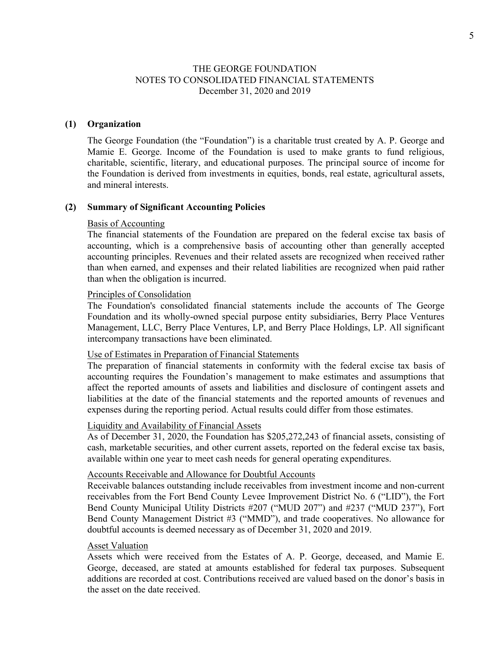#### **(1) Organization**

The George Foundation (the "Foundation") is a charitable trust created by A. P. George and Mamie E. George. Income of the Foundation is used to make grants to fund religious, charitable, scientific, literary, and educational purposes. The principal source of income for the Foundation is derived from investments in equities, bonds, real estate, agricultural assets, and mineral interests.

#### **(2) Summary of Significant Accounting Policies**

#### Basis of Accounting

The financial statements of the Foundation are prepared on the federal excise tax basis of accounting, which is a comprehensive basis of accounting other than generally accepted accounting principles. Revenues and their related assets are recognized when received rather than when earned, and expenses and their related liabilities are recognized when paid rather than when the obligation is incurred.

#### Principles of Consolidation

The Foundation's consolidated financial statements include the accounts of The George Foundation and its wholly-owned special purpose entity subsidiaries, Berry Place Ventures Management, LLC, Berry Place Ventures, LP, and Berry Place Holdings, LP. All significant intercompany transactions have been eliminated.

#### Use of Estimates in Preparation of Financial Statements

The preparation of financial statements in conformity with the federal excise tax basis of accounting requires the Foundation's management to make estimates and assumptions that affect the reported amounts of assets and liabilities and disclosure of contingent assets and liabilities at the date of the financial statements and the reported amounts of revenues and expenses during the reporting period. Actual results could differ from those estimates.

#### Liquidity and Availability of Financial Assets

As of December 31, 2020, the Foundation has \$205,272,243 of financial assets, consisting of cash, marketable securities, and other current assets, reported on the federal excise tax basis, available within one year to meet cash needs for general operating expenditures.

#### Accounts Receivable and Allowance for Doubtful Accounts

Receivable balances outstanding include receivables from investment income and non-current receivables from the Fort Bend County Levee Improvement District No. 6 ("LID"), the Fort Bend County Municipal Utility Districts #207 ("MUD 207") and #237 ("MUD 237"), Fort Bend County Management District #3 ("MMD"), and trade cooperatives. No allowance for doubtful accounts is deemed necessary as of December 31, 2020 and 2019.

#### Asset Valuation

Assets which were received from the Estates of A. P. George, deceased, and Mamie E. George, deceased, are stated at amounts established for federal tax purposes. Subsequent additions are recorded at cost. Contributions received are valued based on the donor's basis in the asset on the date received.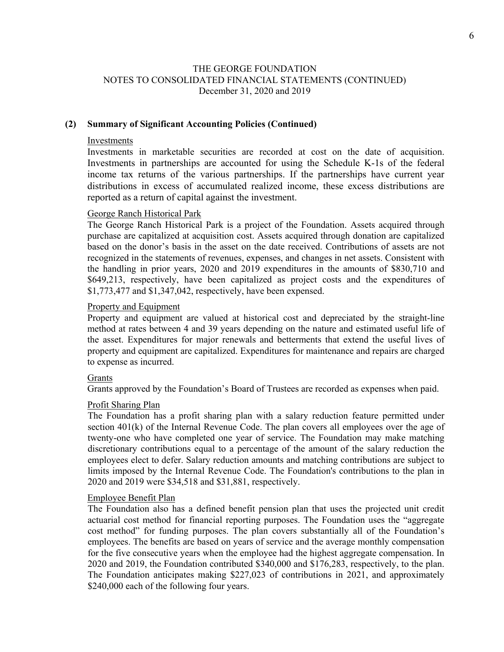### **(2) Summary of Significant Accounting Policies (Continued)**

#### Investments

Investments in marketable securities are recorded at cost on the date of acquisition. Investments in partnerships are accounted for using the Schedule K-1s of the federal income tax returns of the various partnerships. If the partnerships have current year distributions in excess of accumulated realized income, these excess distributions are reported as a return of capital against the investment.

#### George Ranch Historical Park

The George Ranch Historical Park is a project of the Foundation. Assets acquired through purchase are capitalized at acquisition cost. Assets acquired through donation are capitalized based on the donor's basis in the asset on the date received. Contributions of assets are not recognized in the statements of revenues, expenses, and changes in net assets. Consistent with the handling in prior years, 2020 and 2019 expenditures in the amounts of \$830,710 and \$649,213, respectively, have been capitalized as project costs and the expenditures of \$1,773,477 and \$1,347,042, respectively, have been expensed.

#### Property and Equipment

Property and equipment are valued at historical cost and depreciated by the straight-line method at rates between 4 and 39 years depending on the nature and estimated useful life of the asset. Expenditures for major renewals and betterments that extend the useful lives of property and equipment are capitalized. Expenditures for maintenance and repairs are charged to expense as incurred.

#### Grants

Grants approved by the Foundation's Board of Trustees are recorded as expenses when paid.

#### Profit Sharing Plan

The Foundation has a profit sharing plan with a salary reduction feature permitted under section 401(k) of the Internal Revenue Code. The plan covers all employees over the age of twenty-one who have completed one year of service. The Foundation may make matching discretionary contributions equal to a percentage of the amount of the salary reduction the employees elect to defer. Salary reduction amounts and matching contributions are subject to limits imposed by the Internal Revenue Code. The Foundation's contributions to the plan in 2020 and 2019 were \$34,518 and \$31,881, respectively.

#### Employee Benefit Plan

The Foundation also has a defined benefit pension plan that uses the projected unit credit actuarial cost method for financial reporting purposes. The Foundation uses the "aggregate cost method" for funding purposes. The plan covers substantially all of the Foundation's employees. The benefits are based on years of service and the average monthly compensation for the five consecutive years when the employee had the highest aggregate compensation. In 2020 and 2019, the Foundation contributed \$340,000 and \$176,283, respectively, to the plan. The Foundation anticipates making \$227,023 of contributions in 2021, and approximately \$240,000 each of the following four years.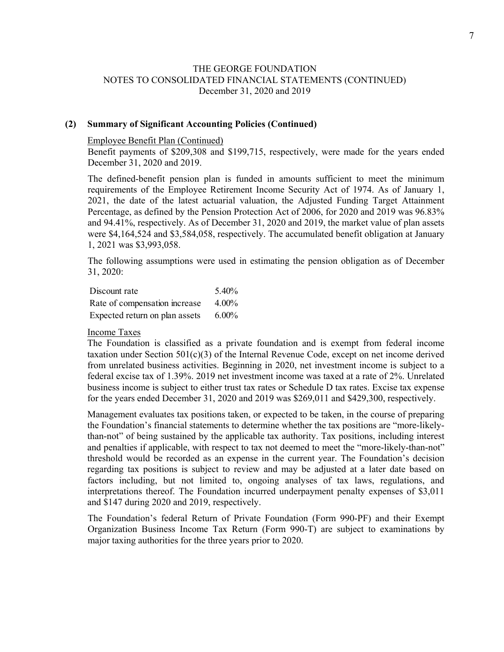### **(2) Summary of Significant Accounting Policies (Continued)**

#### Employee Benefit Plan (Continued)

Benefit payments of \$209,308 and \$199,715, respectively, were made for the years ended December 31, 2020 and 2019.

The defined-benefit pension plan is funded in amounts sufficient to meet the minimum requirements of the Employee Retirement Income Security Act of 1974. As of January 1, 2021, the date of the latest actuarial valuation, the Adjusted Funding Target Attainment Percentage, as defined by the Pension Protection Act of 2006, for 2020 and 2019 was 96.83% and 94.41%, respectively. As of December 31, 2020 and 2019, the market value of plan assets were \$4,164,524 and \$3,584,058, respectively. The accumulated benefit obligation at January 1, 2021 was \$3,993,058.

The following assumptions were used in estimating the pension obligation as of December 31, 2020:

| Discount rate                  | 5.40%    |
|--------------------------------|----------|
| Rate of compensation increase  | 4.00%    |
| Expected return on plan assets | $6.00\%$ |

### Income Taxes

The Foundation is classified as a private foundation and is exempt from federal income taxation under Section  $501(c)(3)$  of the Internal Revenue Code, except on net income derived from unrelated business activities. Beginning in 2020, net investment income is subject to a federal excise tax of 1.39%. 2019 net investment income was taxed at a rate of 2%. Unrelated business income is subject to either trust tax rates or Schedule D tax rates. Excise tax expense for the years ended December 31, 2020 and 2019 was \$269,011 and \$429,300, respectively.

Management evaluates tax positions taken, or expected to be taken, in the course of preparing the Foundation's financial statements to determine whether the tax positions are "more-likelythan-not" of being sustained by the applicable tax authority. Tax positions, including interest and penalties if applicable, with respect to tax not deemed to meet the "more-likely-than-not" threshold would be recorded as an expense in the current year. The Foundation's decision regarding tax positions is subject to review and may be adjusted at a later date based on factors including, but not limited to, ongoing analyses of tax laws, regulations, and interpretations thereof. The Foundation incurred underpayment penalty expenses of \$3,011 and \$147 during 2020 and 2019, respectively.

The Foundation's federal Return of Private Foundation (Form 990-PF) and their Exempt Organization Business Income Tax Return (Form 990-T) are subject to examinations by major taxing authorities for the three years prior to 2020.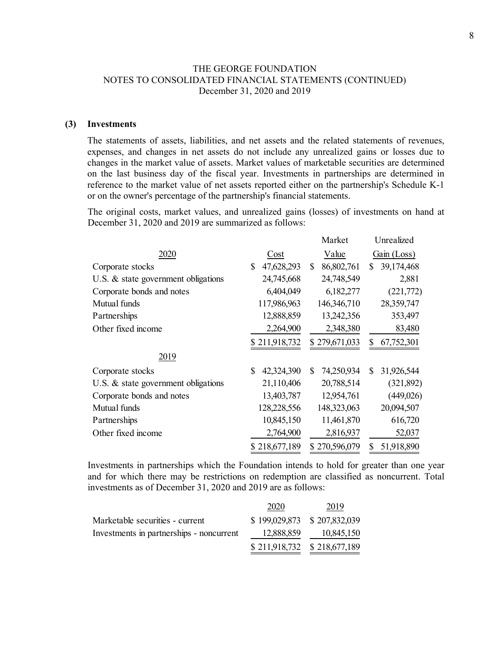#### **(3) Investments**

The statements of assets, liabilities, and net assets and the related statements of revenues, expenses, and changes in net assets do not include any unrealized gains or losses due to changes in the market value of assets. Market values of marketable securities are determined on the last business day of the fiscal year. Investments in partnerships are determined in reference to the market value of net assets reported either on the partnership's Schedule K-1 or on the owner's percentage of the partnership's financial statements.

The original costs, market values, and unrealized gains (losses) of investments on hand at December 31, 2020 and 2019 are summarized as follows:

|                                     |                  | Market           | Unrealized       |
|-------------------------------------|------------------|------------------|------------------|
| 2020                                | Cost             | Value            | Gain (Loss)      |
| Corporate stocks                    | 47,628,293<br>\$ | 86,802,761<br>\$ | 39,174,468<br>S  |
| U.S. & state government obligations | 24,745,668       | 24,748,549       | 2,881            |
| Corporate bonds and notes           | 6,404,049        | 6,182,277        | (221,772)        |
| Mutual funds                        | 117,986,963      | 146,346,710      | 28,359,747       |
| Partnerships                        | 12,888,859       | 13,242,356       | 353,497          |
| Other fixed income                  | 2,264,900        | 2,348,380        | 83,480           |
|                                     | \$211,918,732    | \$279,671,033    | 67,752,301<br>S  |
| 2019                                |                  |                  |                  |
| Corporate stocks                    | 42,324,390<br>\$ | 74,250,934<br>\$ | \$<br>31,926,544 |
| U.S. & state government obligations | 21,110,406       | 20,788,514       | (321, 892)       |
| Corporate bonds and notes           | 13,403,787       | 12,954,761       | (449, 026)       |
| Mutual funds                        | 128,228,556      | 148,323,063      | 20,094,507       |
| Partnerships                        | 10,845,150       | 11,461,870       | 616,720          |
| Other fixed income                  | 2,764,900        | 2,816,937        | 52,037           |
|                                     | \$218,677,189    | \$270,596,079    | 51,918,890<br>S  |

Investments in partnerships which the Foundation intends to hold for greater than one year and for which there may be restrictions on redemption are classified as noncurrent. Total investments as of December 31, 2020 and 2019 are as follows:

|                                          | 2020                        | 2019       |
|------------------------------------------|-----------------------------|------------|
| Marketable securities - current          | \$199,029,873 \$207,832,039 |            |
| Investments in partnerships - noncurrent | 12,888,859                  | 10,845,150 |
|                                          | \$211,918,732 \$218,677,189 |            |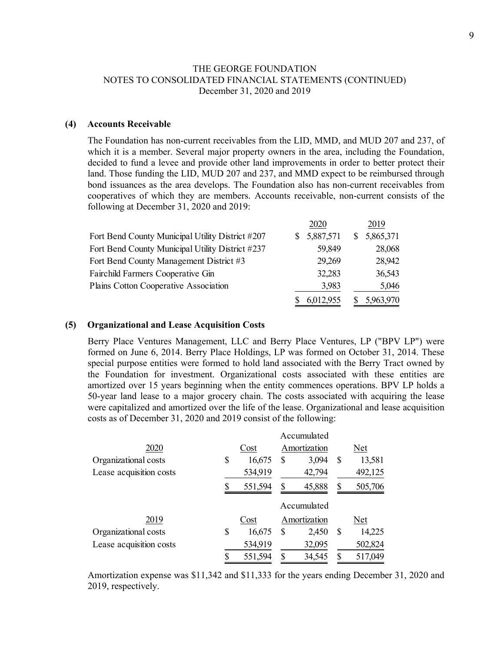#### **(4) Accounts Receivable**

The Foundation has non-current receivables from the LID, MMD, and MUD 207 and 237, of which it is a member. Several major property owners in the area, including the Foundation, decided to fund a levee and provide other land improvements in order to better protect their land. Those funding the LID, MUD 207 and 237, and MMD expect to be reimbursed through bond issuances as the area develops. The Foundation also has non-current receivables from cooperatives of which they are members. Accounts receivable, non-current consists of the following at December 31, 2020 and 2019:

|                                                  |    | 2020      | 2019            |
|--------------------------------------------------|----|-----------|-----------------|
| Fort Bend County Municipal Utility District #207 | S. | 5,887,571 | \$<br>5,865,371 |
| Fort Bend County Municipal Utility District #237 |    | 59,849    | 28,068          |
| Fort Bend County Management District #3          |    | 29,269    | 28,942          |
| Fairchild Farmers Cooperative Gin                |    | 32,283    | 36,543          |
| Plains Cotton Cooperative Association            |    | 3,983     | 5,046           |
|                                                  |    | 6,012,955 | 5,963,970       |

#### **(5) Organizational and Lease Acquisition Costs**

Berry Place Ventures Management, LLC and Berry Place Ventures, LP ("BPV LP") were formed on June 6, 2014. Berry Place Holdings, LP was formed on October 31, 2014. These special purpose entities were formed to hold land associated with the Berry Tract owned by the Foundation for investment. Organizational costs associated with these entities are amortized over 15 years beginning when the entity commences operations. BPV LP holds a 50-year land lease to a major grocery chain. The costs associated with acquiring the lease were capitalized and amortized over the life of the lease. Organizational and lease acquisition costs as of December 31, 2020 and 2019 consist of the following:

|                         |    | Accumulated |    |              |    |         |
|-------------------------|----|-------------|----|--------------|----|---------|
| 2020                    |    | Cost        |    | Amortization |    | Net     |
| Organizational costs    | \$ | 16,675      | S  | 3,094        | \$ | 13,581  |
| Lease acquisition costs |    | 534,919     |    | 42,794       |    | 492,125 |
|                         | S  | 551,594     | S  | 45,888       | S  | 505,706 |
|                         |    |             |    | Accumulated  |    |         |
| 2019                    |    | Cost        |    | Amortization |    | Net     |
| Organizational costs    | \$ | 16,675      | S  | 2,450        | S  | 14,225  |
| Lease acquisition costs |    | 534,919     |    | 32,095       |    | 502,824 |
|                         | \$ | 551,594     | \$ | 34,545       |    | 517,049 |

Amortization expense was \$11,342 and \$11,333 for the years ending December 31, 2020 and 2019, respectively.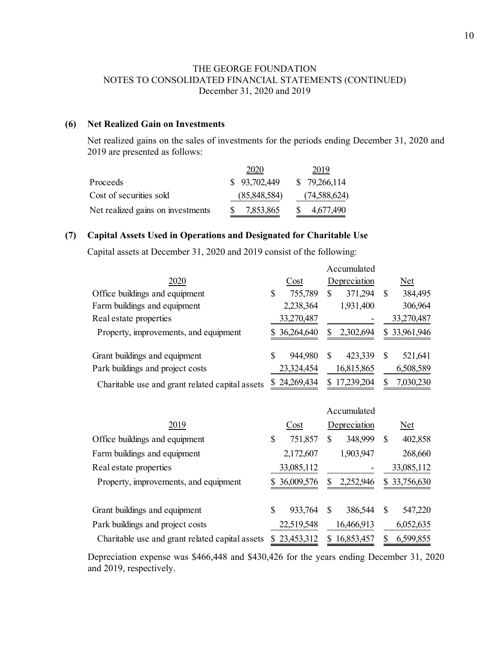# **(6) Net Realized Gain on Investments**

Net realized gains on the sales of investments for the periods ending December 31, 2020 and 2019 are presented as follows:

|                                   | 2020          | 2019            |
|-----------------------------------|---------------|-----------------|
| Proceeds                          | \$ 93,702,449 | \$79,266,114    |
| Cost of securities sold           | (85,848,584)  | (74, 588, 624)  |
| Net realized gains on investments | 7,853,865     | 4,677,490<br>S. |

### **(7) Capital Assets Used in Operations and Designated for Charitable Use**

Capital assets at December 31, 2020 and 2019 consist of the following:

|                                                 |                  | Accumulated    |              |
|-------------------------------------------------|------------------|----------------|--------------|
| 2020                                            | Cost             | Depreciation   | Net          |
| Office buildings and equipment                  | 755,789<br>\$    | 371,294<br>S   | 384,495<br>S |
| Farm buildings and equipment                    | 2,238,364        | 1,931,400      | 306,964      |
| Real estate properties                          | 33,270,487       |                | 33,270,487   |
| Property, improvements, and equipment           | \$36,264,640     | Я<br>2,302,694 | \$33,961,946 |
| Grant buildings and equipment                   | 944,980<br>S     | 423,339<br>\$. | 521,641<br>S |
| Park buildings and project costs                | 23,324,454       | 16,815,865     | 6,508,589    |
| Charitable use and grant related capital assets | 24,269,434<br>S. | 17,239,204     | 7,030,230    |

|                                                 |    |            |    | Accumulated  |    |              |
|-------------------------------------------------|----|------------|----|--------------|----|--------------|
| 2019                                            |    | Cost       |    | Depreciation |    | <u>Net</u>   |
| Office buildings and equipment                  | \$ | 751,857    | \$ | 348,999      | \$ | 402,858      |
| Farm buildings and equipment                    |    | 2,172,607  |    | 1,903,947    |    | 268,660      |
| Real estate properties                          |    | 33,085,112 |    |              |    | 33,085,112   |
| Property, improvements, and equipment           | S  | 36,009,576 |    | 2,252,946    |    | \$33,756,630 |
| Grant buildings and equipment                   | \$ | 933,764    | \$ | 386,544      | \$ | 547,220      |
| Park buildings and project costs                |    | 22,519,548 |    | 16,466,913   |    | 6,052,635    |
| Charitable use and grant related capital assets | S. | 23,453,312 | S. | 16,853,457   | S  | 6,599,855    |

Depreciation expense was \$466,448 and \$430,426 for the years ending December 31, 2020 and 2019, respectively.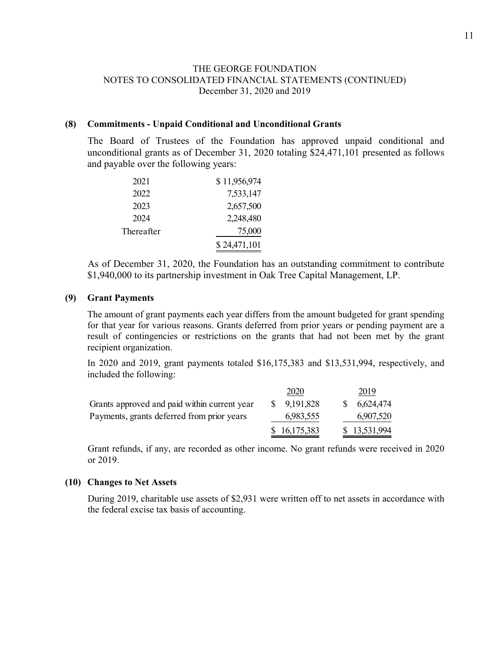#### **(8) Commitments - Unpaid Conditional and Unconditional Grants**

The Board of Trustees of the Foundation has approved unpaid conditional and unconditional grants as of December 31, 2020 totaling \$24,471,101 presented as follows and payable over the following years:

| 2021       | \$11,956,974 |
|------------|--------------|
| 2022       | 7,533,147    |
| 2023       | 2,657,500    |
| 2024       | 2,248,480    |
| Thereafter | 75,000       |
|            | \$24,471,101 |

As of December 31, 2020, the Foundation has an outstanding commitment to contribute \$1,940,000 to its partnership investment in Oak Tree Capital Management, LP.

#### **(9) Grant Payments**

The amount of grant payments each year differs from the amount budgeted for grant spending for that year for various reasons. Grants deferred from prior years or pending payment are a result of contingencies or restrictions on the grants that had not been met by the grant recipient organization.

In 2020 and 2019, grant payments totaled \$16,175,383 and \$13,531,994, respectively, and included the following:

|                                              | 2020         | 2019         |
|----------------------------------------------|--------------|--------------|
| Grants approved and paid within current year | \$9,191,828  | \$6,624,474  |
| Payments, grants deferred from prior years   | 6,983,555    | 6,907,520    |
|                                              | \$16,175,383 | \$13,531,994 |

Grant refunds, if any, are recorded as other income. No grant refunds were received in 2020 or 2019.

#### **(10) Changes to Net Assets**

During 2019, charitable use assets of \$2,931 were written off to net assets in accordance with the federal excise tax basis of accounting.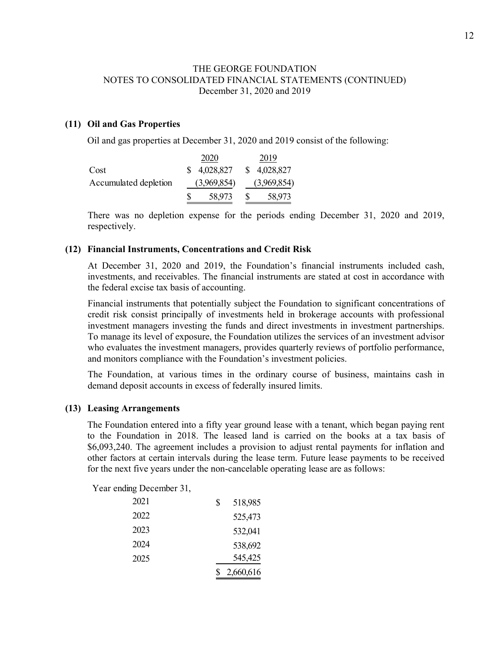### **(11) Oil and Gas Properties**

Oil and gas properties at December 31, 2020 and 2019 consist of the following:

|                       |   | 2020        |   | 2019        |
|-----------------------|---|-------------|---|-------------|
| Cost                  |   | \$4,028,827 |   | \$4,028,827 |
| Accumulated depletion |   | (3,969,854) |   | (3,969,854) |
|                       | S | 58,973      | S | 58,973      |

There was no depletion expense for the periods ending December 31, 2020 and 2019, respectively.

#### **(12) Financial Instruments, Concentrations and Credit Risk**

At December 31, 2020 and 2019, the Foundation's financial instruments included cash, investments, and receivables. The financial instruments are stated at cost in accordance with the federal excise tax basis of accounting.

Financial instruments that potentially subject the Foundation to significant concentrations of credit risk consist principally of investments held in brokerage accounts with professional investment managers investing the funds and direct investments in investment partnerships. To manage its level of exposure, the Foundation utilizes the services of an investment advisor who evaluates the investment managers, provides quarterly reviews of portfolio performance, and monitors compliance with the Foundation's investment policies.

The Foundation, at various times in the ordinary course of business, maintains cash in demand deposit accounts in excess of federally insured limits.

#### **(13) Leasing Arrangements**

The Foundation entered into a fifty year ground lease with a tenant, which began paying rent to the Foundation in 2018. The leased land is carried on the books at a tax basis of \$6,093,240. The agreement includes a provision to adjust rental payments for inflation and other factors at certain intervals during the lease term. Future lease payments to be received for the next five years under the non-cancelable operating lease are as follows:

Year ending December 31,

| 2021 | S | 518,985   |
|------|---|-----------|
| 2022 |   | 525,473   |
| 2023 |   | 532,041   |
| 2024 |   | 538,692   |
| 2025 |   | 545,425   |
|      |   | 2,660,616 |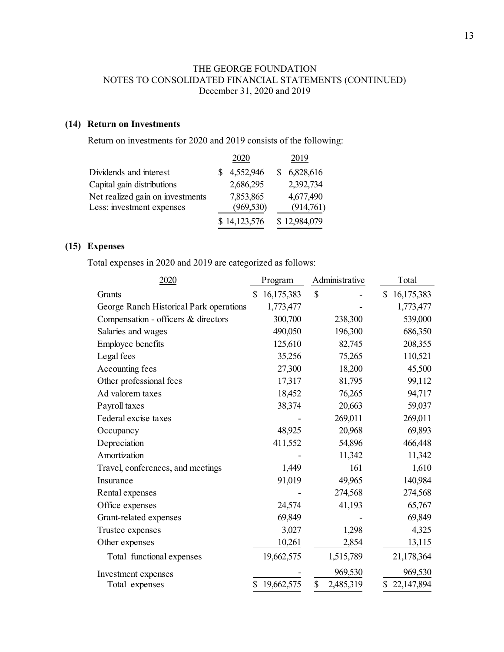# **(14) Return on Investments**

Return on investments for 2020 and 2019 consists of the following:

|                                                               | 2020                    | 2019                   |
|---------------------------------------------------------------|-------------------------|------------------------|
| Dividends and interest                                        | 4,552,946               | 6,828,616              |
| Capital gain distributions                                    | 2,686,295               | 2,392,734              |
| Net realized gain on investments<br>Less: investment expenses | 7,853,865<br>(969, 530) | 4,677,490<br>(914,761) |
|                                                               | \$14,123,576            | \$12,984,079           |

# **(15) Expenses**

Total expenses in 2020 and 2019 are categorized as follows:

| 2020                                    | Program          | Administrative  | Total            |
|-----------------------------------------|------------------|-----------------|------------------|
| Grants                                  | 16,175,383<br>\$ | \$              | 16,175,383<br>\$ |
| George Ranch Historical Park operations | 1,773,477        |                 | 1,773,477        |
| Compensation - officers & directors     | 300,700          | 238,300         | 539,000          |
| Salaries and wages                      | 490,050          | 196,300         | 686,350          |
| Employee benefits                       | 125,610          | 82,745          | 208,355          |
| Legal fees                              | 35,256           | 75,265          | 110,521          |
| Accounting fees                         | 27,300           | 18,200          | 45,500           |
| Other professional fees                 | 17,317           | 81,795          | 99,112           |
| Ad valorem taxes                        | 18,452           | 76,265          | 94,717           |
| Payroll taxes                           | 38,374           | 20,663          | 59,037           |
| Federal excise taxes                    |                  | 269,011         | 269,011          |
| Occupancy                               | 48,925           | 20,968          | 69,893           |
| Depreciation                            | 411,552          | 54,896          | 466,448          |
| Amortization                            |                  | 11,342          | 11,342           |
| Travel, conferences, and meetings       | 1,449            | 161             | 1,610            |
| Insurance                               | 91,019           | 49,965          | 140,984          |
| Rental expenses                         |                  | 274,568         | 274,568          |
| Office expenses                         | 24,574           | 41,193          | 65,767           |
| Grant-related expenses                  | 69,849           |                 | 69,849           |
| Trustee expenses                        | 3,027            | 1,298           | 4,325            |
| Other expenses                          | 10,261           | 2,854           | 13,115           |
| Total functional expenses               | 19,662,575       | 1,515,789       | 21,178,364       |
| Investment expenses                     |                  | 969,530         | 969,530          |
| Total expenses                          | 19,662,575<br>\$ | \$<br>2,485,319 | 22,147,894<br>\$ |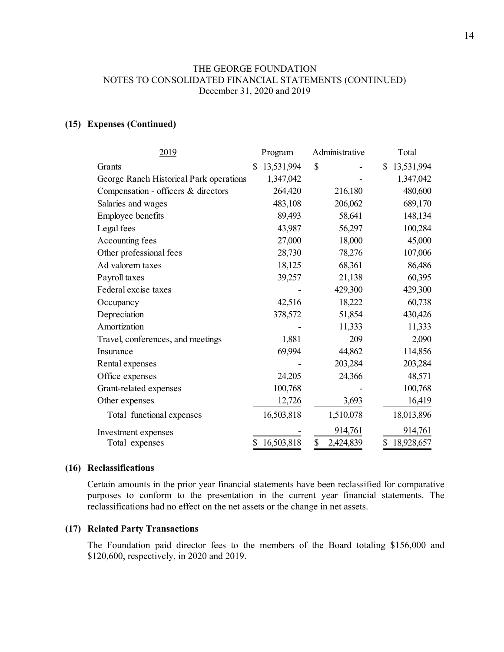### **(15) Expenses (Continued)**

| 2019                                    | Program          | Administrative  | Total            |
|-----------------------------------------|------------------|-----------------|------------------|
| Grants                                  | \$<br>13,531,994 | \$              | 13,531,994<br>\$ |
| George Ranch Historical Park operations | 1,347,042        |                 | 1,347,042        |
| Compensation - officers & directors     | 264,420          | 216,180         | 480,600          |
| Salaries and wages                      | 483,108          | 206,062         | 689,170          |
| Employee benefits                       | 89,493           | 58,641          | 148,134          |
| Legal fees                              | 43,987           | 56,297          | 100,284          |
| Accounting fees                         | 27,000           | 18,000          | 45,000           |
| Other professional fees                 | 28,730           | 78,276          | 107,006          |
| Ad valorem taxes                        | 18,125           | 68,361          | 86,486           |
| Payroll taxes                           | 39,257           | 21,138          | 60,395           |
| Federal excise taxes                    |                  | 429,300         | 429,300          |
| Occupancy                               | 42,516           | 18,222          | 60,738           |
| Depreciation                            | 378,572          | 51,854          | 430,426          |
| Amortization                            |                  | 11,333          | 11,333           |
| Travel, conferences, and meetings       | 1,881            | 209             | 2,090            |
| Insurance                               | 69,994           | 44,862          | 114,856          |
| Rental expenses                         |                  | 203,284         | 203,284          |
| Office expenses                         | 24,205           | 24,366          | 48,571           |
| Grant-related expenses                  | 100,768          |                 | 100,768          |
| Other expenses                          | 12,726           | 3,693           | 16,419           |
| Total functional expenses               | 16,503,818       | 1,510,078       | 18,013,896       |
| Investment expenses                     |                  | 914,761         | 914,761          |
| Total expenses                          | 16,503,818<br>\$ | \$<br>2,424,839 | \$<br>18,928,657 |

#### **(16) Reclassifications**

Certain amounts in the prior year financial statements have been reclassified for comparative purposes to conform to the presentation in the current year financial statements. The reclassifications had no effect on the net assets or the change in net assets.

#### **(17) Related Party Transactions**

The Foundation paid director fees to the members of the Board totaling \$156,000 and \$120,600, respectively, in 2020 and 2019.